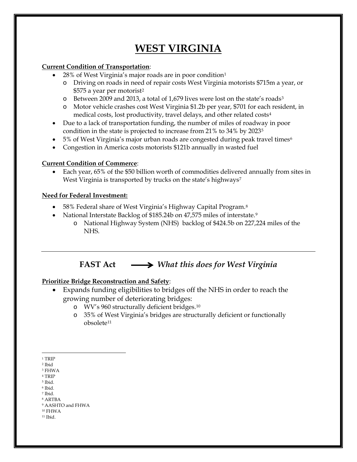# **WEST VIRGINIA**

### **Current Condition of Transportation**:

- 28% of West Virginia's major roads are in poor condition[1](#page-0-0)
	- o Driving on roads in need of repair costs West Virginia motorists \$715m a year, or \$575 a year per motorist[2](#page-0-1)
	- o Between 2009 and 2013, a total of 1,679 lives were lost on the state's roads[3](#page-0-2)
	- o Motor vehicle crashes cost West Virginia \$1.2b per year, \$701 for each resident, in medical costs, lost productivity, travel delays, and other related costs[4](#page-0-3)
- Due to a lack of transportation funding, the number of miles of roadway in poor condition in the state is projected to increase from 21% to 34% by 202[35](#page-0-4)
- 5% of West Virginia's major urban roads are congested during peak travel times<sup>[6](#page-0-5)</sup>
- Congestion in America costs motorists \$121b annually in wasted fuel

## **Current Condition of Commerce**:

• Each year, 65% of the \$50 billion worth of commodities delivered annually from sites in West Virginia is transported by trucks on the state's highways<sup>[7](#page-0-6)</sup>

### **Need for Federal Investment:**

- 5[8](#page-0-7)% Federal share of West Virginia's Highway Capital Program.<sup>8</sup>
- National Interstate Backlog of \$185.24b on 47,575 miles of interstate.<sup>[9](#page-0-8)</sup>
	- o National Highway System (NHS) backlog of \$424.5b on 227,224 miles of the NHS.

## **FAST Act** *What this does for West Virginia*

## **Prioritize Bridge Reconstruction and Safety**:

- Expands funding eligibilities to bridges off the NHS in order to reach the growing number of deteriorating bridges:
	- o WV's 960 structurally deficient bridges.[10](#page-0-9)
	- o 35% of West Virginia's bridges are structurally deficient or functionally obsolete[11](#page-0-10)

- <span id="page-0-3"></span><sup>4</sup> TRIP <sup>5</sup> Ibid.
- <span id="page-0-5"></span><span id="page-0-4"></span><sup>6</sup> Ibid.
- <span id="page-0-6"></span><sup>7</sup> Ibid.
- <span id="page-0-7"></span><sup>8</sup> ARTBA

<span id="page-0-10"></span><span id="page-0-9"></span><sup>10</sup> FHWA <sup>11</sup> Ibid.

 $\overline{a}$ <sup>1</sup> TRIP

<span id="page-0-2"></span><span id="page-0-1"></span><span id="page-0-0"></span><sup>2</sup> Ibid

<sup>3</sup> FHWA

<span id="page-0-8"></span><sup>9</sup> AASHTO and FHWA